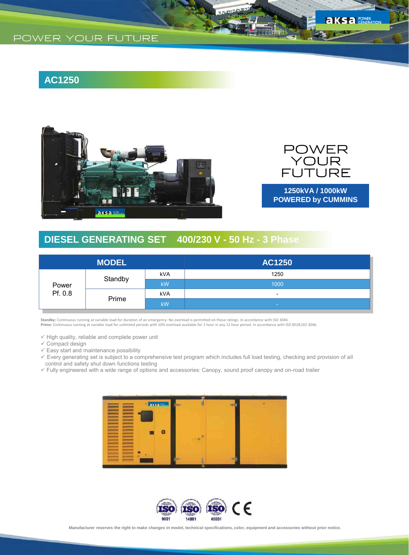# **AC1250**





KS<sub>a</sub> POWER

**1250kVA / 1000kW POWERED by CUMMINS**

## **DIESEL GENERATING SET 400/230 V - 50 Hz - 3 Phase**

| <b>MODEL</b>     |         |           | <b>AC1250</b>            |
|------------------|---------|-----------|--------------------------|
| Power<br>Pf. 0.8 | Standby | kVA       | 1250                     |
|                  |         | <b>kW</b> | 1000                     |
|                  | Prime   | kVA       | $\overline{\phantom{0}}$ |
|                  |         | <b>kW</b> | <b>Section</b>           |

**Standby:** Continuous running at variable load for duration of an emergency. No overload is permitted on these ratings. In accordance with ISO 3046 .<br>**Prime:** Continuous running at variable load for unlimited periods with

 $\checkmark$  High quality, reliable and complete power unit

- $\checkmark$  Compact design
- $\checkmark$  Easy start and maintenance possibility
- Every generating set is subject to a comprehensive test program which includes full load testing, checking and provision of all control and safety shut down functions testing
- Fully engineered with a wide range of options and accessories: Canopy, sound proof canopy and on-road trailer



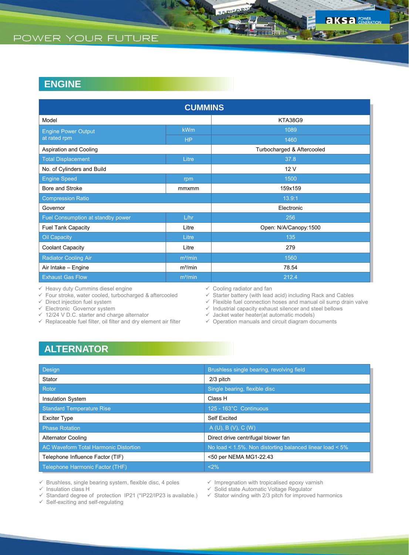## **ENGINE**

| <b>CUMMINS</b>                    |                     |                            |  |  |  |  |
|-----------------------------------|---------------------|----------------------------|--|--|--|--|
| Model                             |                     | <b>KTA38G9</b>             |  |  |  |  |
| <b>Engine Power Output</b>        | <b>kWm</b>          | 1089                       |  |  |  |  |
| at rated rpm                      | <b>HP</b>           | 1460                       |  |  |  |  |
| Aspiration and Cooling            |                     | Turbocharged & Aftercooled |  |  |  |  |
| <b>Total Displacement</b>         | Litre               | 37.8                       |  |  |  |  |
| No. of Cylinders and Build        |                     | 12 V                       |  |  |  |  |
| <b>Engine Speed</b>               | rpm                 | 1500                       |  |  |  |  |
| Bore and Stroke                   | mmxmm               | 159x159                    |  |  |  |  |
| <b>Compression Ratio</b>          |                     | 13.9:1                     |  |  |  |  |
| Governor                          |                     | Electronic                 |  |  |  |  |
| Fuel Consumption at standby power | L/hr                | 256                        |  |  |  |  |
| <b>Fuel Tank Capacity</b>         | Litre               | Open: N/A/Canopy:1500      |  |  |  |  |
| Oil Capacity                      | Litre               | 135                        |  |  |  |  |
| Coolant Capacity                  | Litre               | 279                        |  |  |  |  |
| <b>Radiator Cooling Air</b>       | m <sup>3</sup> /min | 1560                       |  |  |  |  |
| Air Intake - Engine               | m <sup>3</sup> /min | 78.54                      |  |  |  |  |
| <b>Exhaust Gas Flow</b>           | m <sup>3</sup> /min | 212.4                      |  |  |  |  |

 $\checkmark$  Heavy duty Cummins diesel engine

 $\checkmark$  Four stroke, water cooled, turbocharged & aftercooled

 $\checkmark$  Direct injection fuel system

 $\checkmark$  Electronic Governor system

- $\checkmark$  12/24 V D.C. starter and charge alternator
- $\checkmark$  Replaceable fuel filter, oil filter and dry element air filter
- $\checkmark$  Cooling radiator and fan<br> $\checkmark$  Starter battery (with lead

Starter battery (with lead acid) including Rack and Cables

- $\checkmark$  Flexible fuel connection hoses and manual oil sump drain valve
- $\checkmark$  Industrial capacity exhaust silencer and steel bellows
- $\checkmark$  Jacket water heater(at automatic models)
- $\checkmark$  Operation manuals and circuit diagram documents

## **ALTERNATOR**

| <b>Design</b>                                | Brushless single bearing, revolving field                |
|----------------------------------------------|----------------------------------------------------------|
| Stator                                       | 2/3 pitch                                                |
| Rotor                                        | Single bearing, flexible disc                            |
| <b>Insulation System</b>                     | Class H                                                  |
| <b>Standard Temperature Rise</b>             | 125 - 163°C Continuous                                   |
| <b>Exciter Type</b>                          | Self Excited                                             |
| <b>Phase Rotation</b>                        | A(U), B(V), C(W)                                         |
| <b>Alternator Cooling</b>                    | Direct drive centrifugal blower fan                      |
| <b>AC Waveform Total Harmonic Distortion</b> | No load < 1.5%. Non distorting balanced linear load < 5% |
| Telephone Influence Factor (TIF)             | <50 per NEMA MG1-22.43                                   |
| Telephone Harmonic Factor (THF)              | <2%                                                      |

 $\checkmark$  Brushless, single bearing system, flexible disc, 4 poles

 $\checkmark$  Insulation class H

Standard degree of protection IP21 (\*IP22/IP23 is available.)

 $\checkmark$  Impregnation with tropicalised epoxy varnish

 $\checkmark$  Solid state Automatic Voltage Regulator

 $\checkmark$  Self-exciting and self-regulating

 $\checkmark$  Stator winding with 2/3 pitch for improved harmonics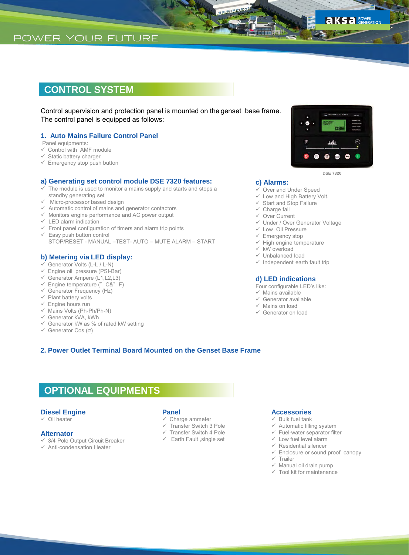## **CONTROL SYSTEM**

Control supervision and protection panel is mounted on the genset base frame. The control panel is equipped as follows:

### **1. Auto Mains Failure Control Panel**

Panel equipments:

- $\checkmark$  Control with AMF module
- $\checkmark$  Static battery charger
- $\checkmark$  Emergency stop push button

### **a) Generating set control module DSE 7320 features:**

- The module is used to monitor a mains supply and starts and stops a standby generating set
- $\checkmark$  Micro-processor based design
- $\checkmark$  Automatic control of mains and generator contactors
- $\checkmark$  Monitors engine performance and AC power output
- $\checkmark$  LED alarm indication
- $\checkmark$  Front panel configuration of timers and alarm trip points
- $\checkmark$  Easy push button control STOP/RESET - MANUAL –TEST- AUTO – MUTE ALARM – START

### **b) Metering via LED display:**

- Generator Volts (L-L / L-N)
- $\checkmark$  Engine oil pressure (PSI-Bar)
- $\checkmark$  Generator Ampere (L1, L2, L3)
- $\checkmark$  Engine temperature (°C&°F)
- $\checkmark$  Generator Frequency (Hz)
- $\checkmark$  Plant battery volts
- $\checkmark$  Engine hours run  $\checkmark$  Mains Volts (Ph-Ph/Ph-N)
- 
- $\checkmark$  Generator kVA, kWh
- $\checkmark$  Generator kW as % of rated kW setting
- Generator Cos (σ)



**DSE 7320**

#### **c) Alarms:**

- $\checkmark$  Over and Under Speed
- $\checkmark$  Low and High Battery Volt.
- $\checkmark$  Start and Stop Failure
- $\checkmark$  Charge fail
- Over Current
- Under / Over Generator Voltage
- Low Oil Pressure
- $\checkmark$  Emergency stop
- $\checkmark$  High engine temperature
- $\times$  kW overload
- Unbalanced load
- $\checkmark$  Independent earth fault trip

#### **d) LED indications**

- Four configurable LED's like:
- $\checkmark$  Mains available
- $\checkmark$  Generator available
- $\checkmark$  Mains on load
- Generator on load

### **2. Power Outlet Terminal Board Mounted on the Genset Base Frame**

# **OPTIONAL EQUIPMENTS**

### **Diesel Engine**

 $\checkmark$  Oil heater

### **Alternator**

- $\checkmark$  3/4 Pole Output Circuit Breaker
- $\checkmark$  Anti-condensation Heater
- **Panel**
- $\checkmark$  Charge ammeter
- Transfer Switch 3 Pole
- $\checkmark$  Transfer Switch 4 Pole
- $\checkmark$  Earth Fault , single set

### **Accessories**

- $\checkmark$  Bulk fuel tank
- $\checkmark$  Automatic filling system
- $\checkmark$  Fuel-water separator filter
- $\checkmark$  Low fuel level alarm
- $\checkmark$  Residential silencer
- $\checkmark$  Enclosure or sound proof canopy
- $\times$  Trailer
- $\checkmark$  Manual oil drain pump
- $\checkmark$  Tool kit for maintenance